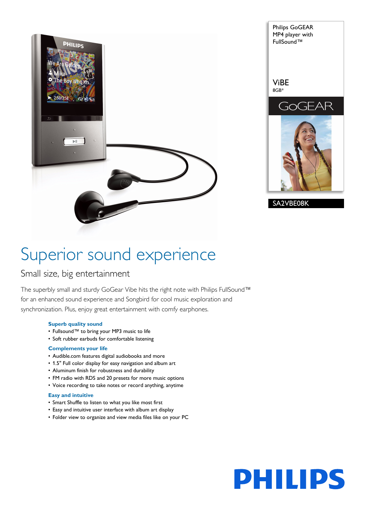

Philips GoGEAR MP4 player with FullSound™ ViBE 8GB\* GoGEAR SA2VBE08K

# Superior sound experience

## Small size, big entertainment

The superbly small and sturdy GoGear Vibe hits the right note with Philips FullSound™ for an enhanced sound experience and Songbird for cool music exploration and synchronization. Plus, enjoy great entertainment with comfy earphones.

### **Superb quality sound**

- Fullsound™ to bring your MP3 music to life
- Soft rubber earbuds for comfortable listening

### **Complements your life**

- Audible.com features digital audiobooks and more
- 1.5" Full color display for easy navigation and album art
- Aluminum finish for robustness and durability
- FM radio with RDS and 20 presets for more music options
- Voice recording to take notes or record anything, anytime

## **Easy and intuitive**

- Smart Shuffle to listen to what you like most first
- Easy and intuitive user interface with album art display
- Folder view to organize and view media files like on your PC

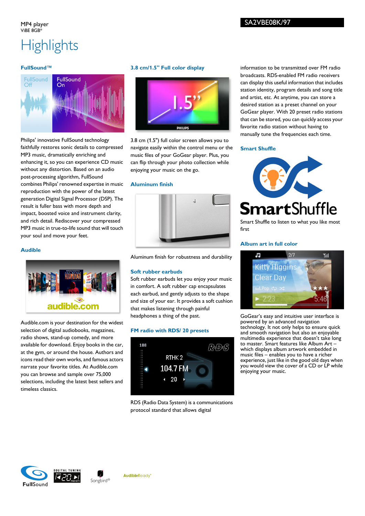# **Highlights**

#### **FullSound™**



Philips' innovative FullSound technology faithfully restores sonic details to compressed MP3 music, dramatically enriching and enhancing it, so you can experience CD music without any distortion. Based on an audio post-processing algorithm, FullSound combines Philips' renowned expertise in music reproduction with the power of the latest generation Digital Signal Processor (DSP). The result is fuller bass with more depth and impact, boosted voice and instrument clarity, and rich detail. Rediscover your compressed MP3 music in true-to-life sound that will touch your soul and move your feet.

#### **Audible**



Audible.com is your destination for the widest selection of digital audiobooks, magazines, radio shows, stand-up comedy, and more available for download. Enjoy books in the car, at the gym, or around the house. Authors and icons read their own works, and famous actors narrate your favorite titles. At Audible.com you can browse and sample over 75,000 selections, including the latest best sellers and timeless classics.

### **3.8 cm/1.5" Full color display**



3.8 cm (1.5") full color screen allows you to navigate easily within the control menu or the music files of your GoGear player. Plus, you can flip through your photo collection while enjoying your music on the go.

#### **Aluminum finish**



Aluminum finish for robustness and durability

#### **Soft rubber earbuds**

Soft rubber earbuds let you enjoy your music in comfort. A soft rubber cap encapsulates each earbud, and gently adjusts to the shape and size of your ear. It provides a soft cushion that makes listening through painful headphones a thing of the past.

#### **FM radio with RDS/ 20 presets**



RDS (Radio Data System) is a communications protocol standard that allows digital

information to be transmitted over FM radio broadcasts. RDS-enabled FM radio receivers can display this useful information that includes station identity, program details and song title and artist, etc. At anytime, you can store a desired station as a preset channel on your GoGear player. With 20 preset radio stations that can be stored, you can quickly access your favorite radio station without having to manually tune the frequencies each time.

#### **Smart Shuffle**



Smart Shuffle to listen to what you like most first

#### **Album art in full color**



GoGear's easy and intuitive user interface is powered by an advanced navigation technology. It not only helps to ensure quick and smooth navigation but also an enjoyable multimedia experience that doesn't take long to master. Smart features like Album Art – which displays album artwork embedded in music files – enables you to have a richer experience, just like in the good old days when you would view the cover of a CD or LP while enjoying your music.